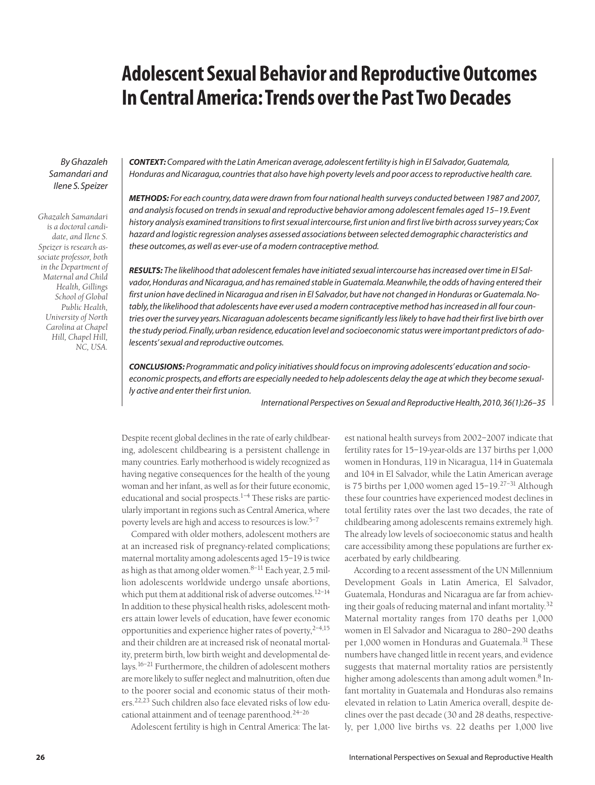# **Adolescent Sexual Behavior and Reproductive Outcomes In Central America: Trends over the Past Two Decades**

*By Ghazaleh Samandari and Ilene S. Speizer*

*Ghazaleh Samandari is a doctoral candidate, and Ilene S. Speizer is research associate professor, both in the Department of Maternal and Child Health, Gillings School of Global Public Health, University of North Carolina at Chapel Hill, Chapel Hill, NC, USA.* *CONTEXT: Compared with the Latin American average, adolescent fertility is high in El Salvador, Guatemala, Honduras and Nicaragua, countries that also have high poverty levels and poor access to reproductive health care.*

*METHODS: For each country, data were drawn from four national health surveys conducted between 1987 and 2007, and analysis focused on trends in sexual and reproductive behavior among adolescent females aged 15–19. Event history analysis examined transitions to first sexual intercourse, first union and first live birth across survey years; Cox hazard and logistic regression analyses assessed associations between selected demographic characteristics and these outcomes, as well as ever-use of a modern contraceptive method.*

*RESULTS: The likelihood that adolescent females have initiated sexual intercourse has increased over time in El Salvador, Honduras and Nicaragua, and has remained stable in Guatemala. Meanwhile, the odds of having entered their first union have declined in Nicaragua and risen in El Salvador, but have not changed in Honduras or Guatemala. Notably, the likelihood that adolescents have ever used a modern contraceptive method has increased in all four countries over the survey years. Nicaraguan adolescents became significantly less likely to have had their first live birth over the study period. Finally, urban residence, education level and socioeconomic status were important predictors of adolescents' sexual and reproductive outcomes.*

*CONCLUSIONS: Programmatic and policy initiatives should focus on improving adolescents' education and socioeconomic prospects, and efforts are especially needed to help adolescents delay the age at which they become sexually active and enter their first union.*

*International Perspectives on Sexual and Reproductive Health, 2010, 36(1):26–35*

Despite recent global declines in the rate of early childbearing, adolescent childbearing is a persistent challenge in many countries. Early motherhood is widely recognized as having negative consequences for the health of the young woman and her infant, as well as for their future economic, educational and social prospects. $1-4$  These risks are particularly important in regions such as Central America, where poverty levels are high and access to resources is low.5–7

Compared with older mothers, adolescent mothers are at an increased risk of pregnancy-related complications; maternal mortality among adolescents aged 15–19 is twice as high as that among older women. $8-11$  Each year, 2.5 million adolescents worldwide undergo unsafe abortions, which put them at additional risk of adverse outcomes.12–14 In addition to these physical health risks, adolescent mothers attain lower levels of education, have fewer economic opportunities and experience higher rates of poverty,  $2^{-4,15}$ and their children are at increased risk of neonatal mortality, preterm birth, low birth weight and developmental delays.16–21 Furthermore, the children of adolescent mothers are more likely to suffer neglect and malnutrition, often due to the poorer social and economic status of their mothers.22,23 Such children also face elevated risks of low educational attainment and of teenage parenthood.24–26

Adolescent fertility is high in Central America: The lat-

est national health surveys from 2002–2007 indicate that fertility rates for 15–19-year-olds are 137 births per 1,000 women in Honduras, 119 in Nicaragua, 114 in Guatemala and 104 in El Salvador, while the Latin American average is 75 births per 1,000 women aged 15–19.27–31 Although these four countries have experienced modest declines in total fertility rates over the last two decades, the rate of childbearing among adolescents remains extremely high. The already low levels of socioeconomic status and health care accessibility among these populations are further exacerbated by early childbearing.

According to a recent assessment of the UN Millennium Development Goals in Latin America, El Salvador, Guatemala, Honduras and Nicaragua are far from achieving their goals of reducing maternal and infant mortality.32 Maternal mortality ranges from 170 deaths per 1,000 women in El Salvador and Nicaragua to 280–290 deaths per 1,000 women in Honduras and Guatemala.<sup>31</sup> These numbers have changed little in recent years, and evidence suggests that maternal mortality ratios are persistently higher among adolescents than among adult women.<sup>8</sup> Infant mortality in Guatemala and Honduras also remains elevated in relation to Latin America overall, despite declines over the past decade (30 and 28 deaths, respectively, per 1,000 live births vs. 22 deaths per 1,000 live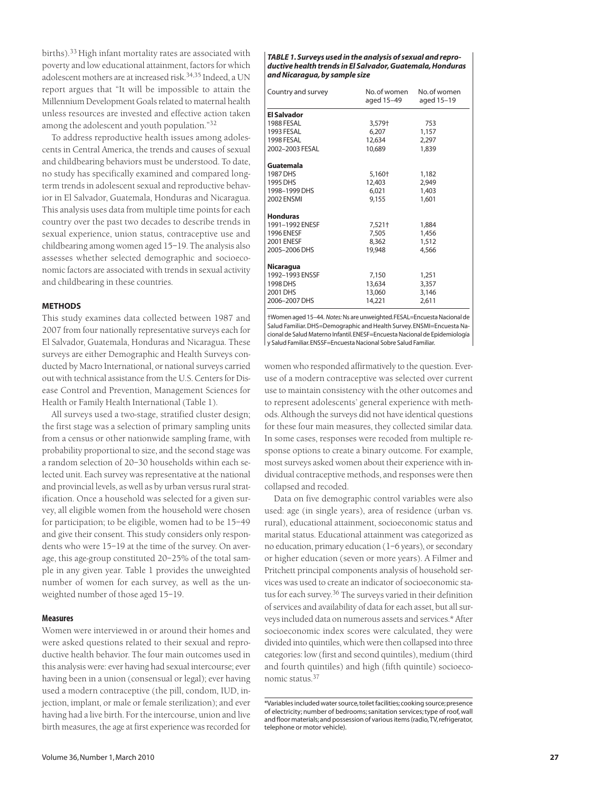births).<sup>33</sup> High infant mortality rates are associated with poverty and low educational attainment, factors for which adolescent mothers are at increased risk.34,35 Indeed, a UN report argues that "It will be impossible to attain the Millennium Development Goals related to maternal health unless resources are invested and effective action taken among the adolescent and youth population."32

To address reproductive health issues among adolescents in Central America, the trends and causes of sexual and childbearing behaviors must be understood. To date, no study has specifically examined and compared longterm trends in adolescent sexual and reproductive behavior in El Salvador, Guatemala, Honduras and Nicaragua. This analysis uses data from multiple time points for each country over the past two decades to describe trends in sexual experience, union status, contraceptive use and childbearing among women aged 15–19. The analysis also assesses whether selected demographic and socioeconomic factors are associated with trends in sexual activity and childbearing in these countries.

## **METHODS**

This study examines data collected between 1987 and 2007 from four nationally representative surveys each for El Salvador, Guatemala, Honduras and Nicaragua. These surveys are either Demographic and Health Surveys conducted by Macro International, or national surveys carried out with technical assistance from the U.S. Centers for Disease Control and Prevention, Management Sciences for Health or Family Health International (Table 1).

All surveys used a two-stage, stratified cluster design; the first stage was a selection of primary sampling units from a census or other nationwide sampling frame, with probability proportional to size, and the second stage was a random selection of 20–30 households within each selected unit. Each survey was representative at the national and provincial levels, as well as by urban versus rural stratification. Once a household was selected for a given survey, all eligible women from the household were chosen for participation; to be eligible, women had to be 15–49 and give their consent. This study considers only respondents who were 15–19 at the time of the survey. On average, this age-group constituted 20–25% of the total sample in any given year. Table 1 provides the unweighted number of women for each survey, as well as the unweighted number of those aged 15–19.

# **Measures**

Women were interviewed in or around their homes and were asked questions related to their sexual and reproductive health behavior. The four main outcomes used in this analysis were: ever having had sexual intercourse; ever having been in a union (consensual or legal); ever having used a modern contraceptive (the pill, condom, IUD, injection, implant, or male or female sterilization); and ever having had a live birth. For the intercourse, union and live birth measures, the age at first experience was recorded for

#### *TABLE 1. Surveys used in the analysis of sexual and reproductive health trends in El Salvador, Guatemala, Honduras and Nicaragua, by sample size*

| Country and survey | No.of women<br>aged 15-49 | No. of women<br>aged 15-19 |  |
|--------------------|---------------------------|----------------------------|--|
| <b>El Salvador</b> |                           |                            |  |
| 1988 FESAL         | 3,579†                    | 753                        |  |
| 1993 FESAL         | 6.207                     | 1,157                      |  |
| 1998 FESAL         | 12,634                    | 2,297                      |  |
| 2002-2003 FESAL    | 10,689                    | 1,839                      |  |
| Guatemala          |                           |                            |  |
| 1987 DHS           | 5,160†                    | 1,182                      |  |
| 1995 DHS           | 12,403                    | 2,949                      |  |
| 1998-1999 DHS      | 6,021                     | 1,403                      |  |
| <b>2002 ENSMI</b>  | 9,155                     | 1,601                      |  |
| <b>Honduras</b>    |                           |                            |  |
| 1991-1992 ENESF    | 7,521†                    | 1,884                      |  |
| <b>1996 ENESF</b>  | 7,505                     | 1,456                      |  |
| <b>2001 ENESF</b>  | 8,362                     | 1,512                      |  |
| 2005-2006 DHS      | 19,948                    | 4,566                      |  |
| <b>Nicaragua</b>   |                           |                            |  |
| 1992-1993 ENSSF    | 7.150                     | 1,251                      |  |
| 1998 DHS           | 13,634                    | 3,357                      |  |
| 2001 DHS           | 13,060                    | 3,146                      |  |
| 2006-2007 DHS      | 14,221                    | 2,611                      |  |

†Women aged 15–44. *Notes:*Ns are unweighted.FESAL=Encuesta Nacional de Salud Familiar. DHS=Demographic and Health Survey. ENSMI=Encuesta Nacional de Salud Materno Infantil.ENESF=Encuesta Nacional de Epidemiología y Salud Familiar.ENSSF=Encuesta Nacional Sobre Salud Familiar.

women who responded affirmatively to the question. Everuse of a modern contraceptive was selected over current use to maintain consistency with the other outcomes and to represent adolescents' general experience with methods. Although the surveys did not have identical questions for these four main measures, they collected similar data. In some cases, responses were recoded from multiple response options to create a binary outcome. For example, most surveys asked women about their experience with individual contraceptive methods, and responses were then collapsed and recoded.

Data on five demographic control variables were also used: age (in single years), area of residence (urban vs. rural), educational attainment, socioeconomic status and marital status. Educational attainment was categorized as no education, primary education (1–6 years), or secondary or higher education (seven or more years). A Filmer and Pritchett principal components analysis of household services was used to create an indicator of socioeconomic status for each survey.36 The surveys varied in their definition of services and availability of data for each asset, but all surveys included data on numerous assets and services.\* After socioeconomic index scores were calculated, they were divided into quintiles, which were then collapsed into three categories: low (first and second quintiles), medium (third and fourth quintiles) and high (fifth quintile) socioeconomic status.37

<sup>\*</sup>Variables included water source,toilet facilities;cooking source;presence of electricity; number of bedrooms; sanitation services; type of roof, wall and floor materials;and possession of various items (radio,TV,refrigerator, telephone or motor vehicle).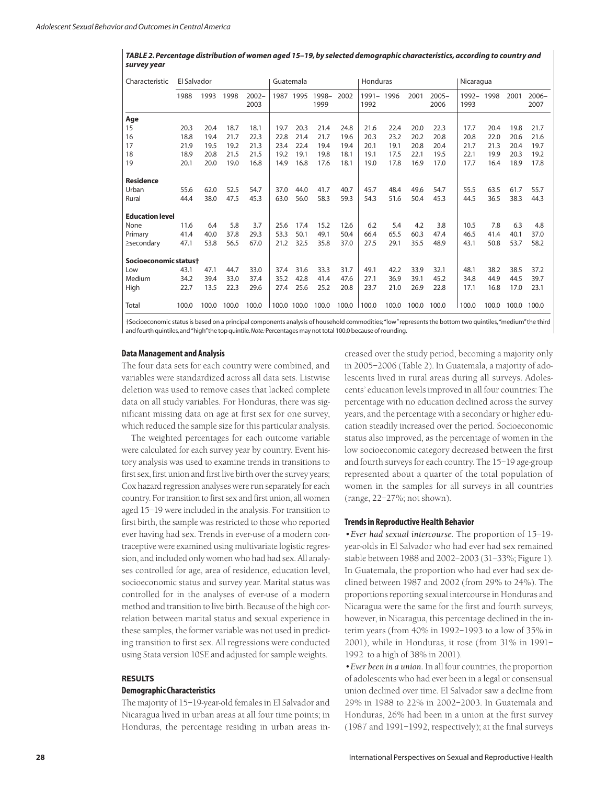| TABLE 2. Percentage distribution of women aged 15-19, by selected demographic characteristics, according to country and |
|-------------------------------------------------------------------------------------------------------------------------|
| survey year                                                                                                             |

| Characteristic         | El Salvador |       | Guatemala |                  | Honduras |       |               | Nicaragua |                    |       |       |                  |                  |       |       |                  |
|------------------------|-------------|-------|-----------|------------------|----------|-------|---------------|-----------|--------------------|-------|-------|------------------|------------------|-------|-------|------------------|
|                        | 1988        | 1993  | 1998      | $2002 -$<br>2003 | 1987     | 1995  | 1998-<br>1999 | 2002      | 1991- 1996<br>1992 |       | 2001  | $2005 -$<br>2006 | $1992 -$<br>1993 | 1998  | 2001  | $2006 -$<br>2007 |
| Age                    |             |       |           |                  |          |       |               |           |                    |       |       |                  |                  |       |       |                  |
| 15                     | 20.3        | 20.4  | 18.7      | 18.1             | 19.7     | 20.3  | 21.4          | 24.8      | 21.6               | 22.4  | 20.0  | 22.3             | 17.7             | 20.4  | 19.8  | 21.7             |
| 16                     | 18.8        | 19.4  | 21.7      | 22.3             | 22.8     | 21.4  | 21.7          | 19.6      | 20.3               | 23.2  | 20.2  | 20.8             | 20.8             | 22.0  | 20.6  | 21.6             |
| 17                     | 21.9        | 19.5  | 19.2      | 21.3             | 23.4     | 22.4  | 19.4          | 19.4      | 20.1               | 19.1  | 20.8  | 20.4             | 21.7             | 21.3  | 20.4  | 19.7             |
| 18                     | 18.9        | 20.8  | 21.5      | 21.5             | 19.2     | 19.1  | 19.8          | 18.1      | 19.1               | 17.5  | 22.1  | 19.5             | 22.1             | 19.9  | 20.3  | 19.2             |
| 19                     | 20.1        | 20.0  | 19.0      | 16.8             | 14.9     | 16.8  | 17.6          | 18.1      | 19.0               | 17.8  | 16.9  | 17.0             | 17.7             | 16.4  | 18.9  | 17.8             |
| <b>Residence</b>       |             |       |           |                  |          |       |               |           |                    |       |       |                  |                  |       |       |                  |
| Urban                  | 55.6        | 62.0  | 52.5      | 54.7             | 37.0     | 44.0  | 41.7          | 40.7      | 45.7               | 48.4  | 49.6  | 54.7             | 55.5             | 63.5  | 61.7  | 55.7             |
| Rural                  | 44.4        | 38.0  | 47.5      | 45.3             | 63.0     | 56.0  | 58.3          | 59.3      | 54.3               | 51.6  | 50.4  | 45.3             | 44.5             | 36.5  | 38.3  | 44.3             |
| <b>Education level</b> |             |       |           |                  |          |       |               |           |                    |       |       |                  |                  |       |       |                  |
| None                   | 11.6        | 6.4   | 5.8       | 3.7              | 25.6     | 17.4  | 15.2          | 12.6      | 6.2                | 5.4   | 4.2   | 3.8              | 10.5             | 7.8   | 6.3   | 4.8              |
| Primary                | 41.4        | 40.0  | 37.8      | 29.3             | 53.3     | 50.1  | 49.1          | 50.4      | 66.4               | 65.5  | 60.3  | 47.4             | 46.5             | 41.4  | 40.1  | 37.0             |
| $\ge$ secondary        | 47.1        | 53.8  | 56.5      | 67.0             | 21.2     | 32.5  | 35.8          | 37.0      | 27.5               | 29.1  | 35.5  | 48.9             | 43.1             | 50.8  | 53.7  | 58.2             |
| Socioeconomic statust  |             |       |           |                  |          |       |               |           |                    |       |       |                  |                  |       |       |                  |
| Low                    | 43.1        | 47.1  | 44.7      | 33.0             | 37.4     | 31.6  | 33.3          | 31.7      | 49.1               | 42.2  | 33.9  | 32.1             | 48.1             | 38.2  | 38.5  | 37.2             |
| Medium                 | 34.2        | 39.4  | 33.0      | 37.4             | 35.2     | 42.8  | 41.4          | 47.6      | 27.1               | 36.9  | 39.1  | 45.2             | 34.8             | 44.9  | 44.5  | 39.7             |
| High                   | 22.7        | 13.5  | 22.3      | 29.6             | 27.4     | 25.6  | 25.2          | 20.8      | 23.7               | 21.0  | 26.9  | 22.8             | 17.1             | 16.8  | 17.0  | 23.1             |
| Total                  | 100.0       | 100.0 | 100.0     | 100.0            | 100.0    | 100.0 | 100.0         | 100.0     | 100.0              | 100.0 | 100.0 | 100.0            | 100.0            | 100.0 | 100.0 | 100.0            |

†Socioeconomic status is based on a principal components analysis of household commodities; "low"represents the bottom two quintiles, "medium"the third and fourth quintiles,and "high"the top quintile.*Note:* Percentages may not total 100.0 because of rounding.

#### **Data Management and Analysis**

The four data sets for each country were combined, and variables were standardized across all data sets. Listwise deletion was used to remove cases that lacked complete data on all study variables. For Honduras, there was significant missing data on age at first sex for one survey, which reduced the sample size for this particular analysis.

The weighted percentages for each outcome variable were calculated for each survey year by country. Event history analysis was used to examine trends in transitions to first sex, first union and first live birth over the survey years; Cox hazard regression analyses were run separately for each country. For transition to first sex and first union, all women aged 15–19 were included in the analysis. For transition to first birth, the sample was restricted to those who reported ever having had sex. Trends in ever-use of a modern contraceptive were examined using multivariate logistic regression, and included only women who had had sex. All analyses controlled for age, area of residence, education level, socioeconomic status and survey year. Marital status was controlled for in the analyses of ever-use of a modern method and transition to live birth. Because of the high correlation between marital status and sexual experience in these samples, the former variable was not used in predicting transition to first sex. All regressions were conducted using Stata version 10SE and adjusted for sample weights.

#### **RESULTS**

#### **Demographic Characteristics**

The majority of 15–19-year-old females in El Salvador and Nicaragua lived in urban areas at all four time points; in Honduras, the percentage residing in urban areas in-

creased over the study period, becoming a majority only in 2005–2006 (Table 2). In Guatemala, a majority of adolescents lived in rural areas during all surveys. Adolescents' education levels improved in all four countries: The percentage with no education declined across the survey years, and the percentage with a secondary or higher education steadily increased over the period. Socioeconomic status also improved, as the percentage of women in the low socioeconomic category decreased between the first and fourth surveys for each country. The 15–19 age-group represented about a quarter of the total population of women in the samples for all surveys in all countries (range, 22–27%; not shown).

## **Trends in Reproductive Health Behavior**

*•Ever had sexual intercourse.* The proportion of 15–19 year-olds in El Salvador who had ever had sex remained stable between 1988 and 2002–2003 (31–33%; Figure 1). In Guatemala, the proportion who had ever had sex declined between 1987 and 2002 (from 29% to 24%). The proportions reporting sexual intercourse in Honduras and Nicaragua were the same for the first and fourth surveys; however, in Nicaragua, this percentage declined in the interim years (from 40% in 1992–1993 to a low of 35% in 2001), while in Honduras, it rose (from 31% in 1991– 1992 to a high of 38% in 2001).

*•Ever been in a union.* In all four countries, the proportion of adolescents who had ever been in a legal or consensual union declined over time. El Salvador saw a decline from 29% in 1988 to 22% in 2002–2003. In Guatemala and Honduras, 26% had been in a union at the first survey (1987 and 1991–1992, respectively); at the final surveys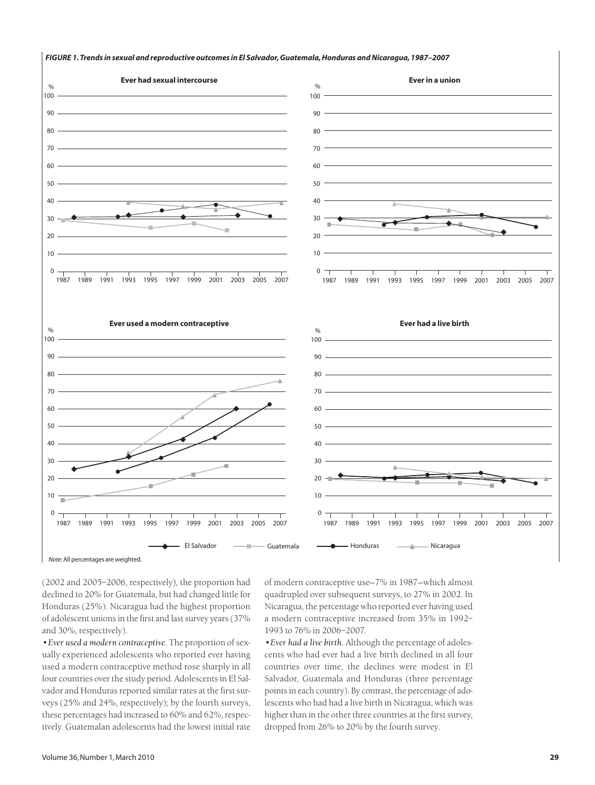

#### *FIGURE 1. Trends in sexual and reproductive outcomes in El Salvador, Guatemala, Honduras and Nicaragua, 1987–2007*

*Note:* All percentages are weighted.

(2002 and 2005–2006, respectively), the proportion had declined to 20% for Guatemala, but had changed little for Honduras (25%). Nicaragua had the highest proportion of adolescent unions in the first and last survey years (37% and 30%, respectively).

*•Ever used a modern contraceptive.* The proportion of sexually experienced adolescents who reported ever having used a modern contraceptive method rose sharply in all four countries over the study period. Adolescents in El Salvador and Honduras reported similar rates at the first surveys (25% and 24%, respectively); by the fourth surveys, these percentages had increased to 60% and 62%, respectively. Guatemalan adolescents had the lowest initial rate of modern contraceptive use—7% in 1987—which almost quadrupled over subsequent surveys, to 27% in 2002. In Nicaragua, the percentage who reported ever having used a modern contraceptive increased from 35% in 1992– 1993 to 76% in 2006–2007.

*•Ever had a live birth.* Although the percentage of adolescents who had ever had a live birth declined in all four countries over time, the declines were modest in El Salvador, Guatemala and Honduras (three percentage points in each country). By contrast, the percentage of adolescents who had had a live birth in Nicaragua, which was higher than in the other three countries at the first survey, dropped from 26% to 20% by the fourth survey.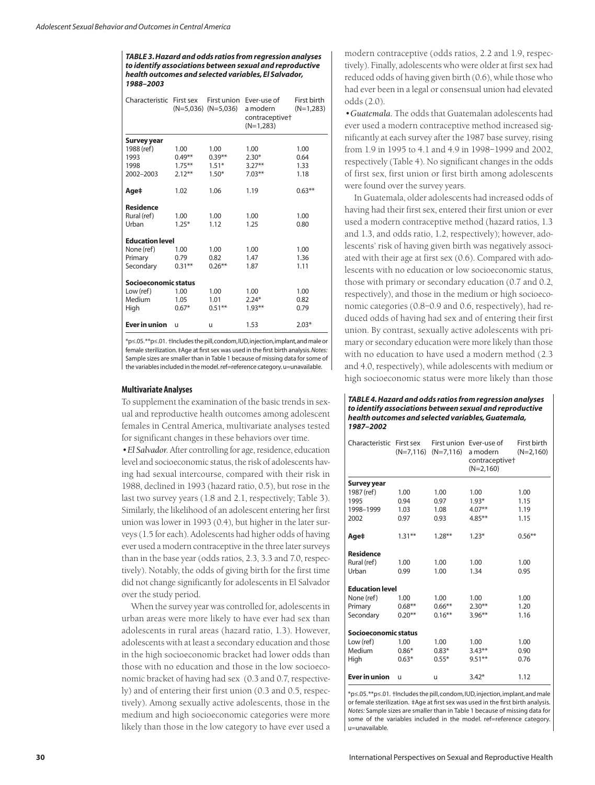*TABLE 3. Hazard and odds ratios from regression analyses to identify associations between sexual and reproductive health outcomes and selected variables, El Salvador, 1988–2003*

| Characteristic First sex |           | First union<br>$(N=5,036)$ $(N=5,036)$ | Ever-use of<br>a modern<br>contraceptive <sup>+</sup><br>$(N=1.283)$ | First birth<br>$(N=1,283)$ |  |  |  |  |
|--------------------------|-----------|----------------------------------------|----------------------------------------------------------------------|----------------------------|--|--|--|--|
| Survey year              |           |                                        |                                                                      |                            |  |  |  |  |
| 1988 (ref)               | 1.00      | 1.00                                   | 1.00                                                                 | 1.00                       |  |  |  |  |
| 1993                     | $0.49**$  | $0.39***$                              | $2.30*$                                                              | 0.64                       |  |  |  |  |
| 1998                     | $1.75***$ | $1.51*$                                | $3.27**$                                                             | 1.33                       |  |  |  |  |
| 2002-2003                | $2.12***$ | $1.50*$                                | $7.03***$                                                            | 1.18                       |  |  |  |  |
| Age‡                     | 1.02      | 1.06                                   | 1.19                                                                 | $0.63***$                  |  |  |  |  |
| <b>Residence</b>         |           |                                        |                                                                      |                            |  |  |  |  |
| Rural (ref)              | 1.00      | 1.00                                   | 1.00                                                                 | 1.00                       |  |  |  |  |
| Urban                    | $1.25*$   | 1.12                                   | 1.25                                                                 | 0.80                       |  |  |  |  |
| <b>Education level</b>   |           |                                        |                                                                      |                            |  |  |  |  |
| None (ref)               | 1.00      | 1.00                                   | 1.00                                                                 | 1.00                       |  |  |  |  |
| Primary                  | 0.79      | 0.82                                   | 1.47                                                                 | 1.36                       |  |  |  |  |
| Secondary                | $0.31**$  | $0.26***$                              | 1.87                                                                 | 1.11                       |  |  |  |  |
| Socioeconomic status     |           |                                        |                                                                      |                            |  |  |  |  |
| Low (ref)                | 1.00      | 1.00                                   | 1.00                                                                 | 1.00                       |  |  |  |  |
| Medium                   | 1.05      | 1.01                                   | $2.24*$                                                              | 0.82                       |  |  |  |  |
| High                     | $0.67*$   | $0.51***$                              | $1.93***$                                                            | 0.79                       |  |  |  |  |
| <b>Ever in union</b>     | u         | u                                      | 1.53                                                                 | $2.03*$                    |  |  |  |  |

\*p≤.05.\*\*p≤.01. †Includes the pill,condom,IUD,injection,implant,and male or female sterilization. ‡Age at first sex was used in the first birth analysis.*Notes:* Sample sizes are smaller than in Table 1 because of missing data for some of the variables included in the model. ref=reference category. u=unavailable.

#### **Multivariate Analyses**

To supplement the examination of the basic trends in sexual and reproductive health outcomes among adolescent females in Central America, multivariate analyses tested for significant changes in these behaviors over time.

*•El Salvador.* After controlling for age, residence, education level and socioeconomic status, the risk of adolescents having had sexual intercourse, compared with their risk in 1988, declined in 1993 (hazard ratio, 0.5), but rose in the last two survey years (1.8 and 2.1, respectively; Table 3). Similarly, the likelihood of an adolescent entering her first union was lower in 1993 (0.4), but higher in the later surveys (1.5 for each). Adolescents had higher odds of having ever used a modern contraceptive in the three later surveys than in the base year (odds ratios, 2.3, 3.3 and 7.0, respectively). Notably, the odds of giving birth for the first time did not change significantly for adolescents in El Salvador over the study period.

When the survey year was controlled for, adolescents in urban areas were more likely to have ever had sex than adolescents in rural areas (hazard ratio, 1.3). However, adolescents with at least a secondary education and those in the high socioeconomic bracket had lower odds than those with no education and those in the low socioeconomic bracket of having had sex (0.3 and 0.7, respectively) and of entering their first union (0.3 and 0.5, respectively). Among sexually active adolescents, those in the medium and high socioeconomic categories were more likely than those in the low category to have ever used a modern contraceptive (odds ratios, 2.2 and 1.9, respectively). Finally, adolescents who were older at first sex had reduced odds of having given birth (0.6), while those who had ever been in a legal or consensual union had elevated odds (2.0).

*•Guatemala.* The odds that Guatemalan adolescents had ever used a modern contraceptive method increased significantly at each survey after the 1987 base survey, rising from 1.9 in 1995 to 4.1 and 4.9 in 1998–1999 and 2002, respectively (Table 4). No significant changes in the odds of first sex, first union or first birth among adolescents were found over the survey years.

In Guatemala, older adolescents had increased odds of having had their first sex, entered their first union or ever used a modern contraceptive method (hazard ratios, 1.3 and 1.3, and odds ratio, 1.2, respectively); however, adolescents' risk of having given birth was negatively associated with their age at first sex (0.6). Compared with adolescents with no education or low socioeconomic status, those with primary or secondary education (0.7 and 0.2, respectively), and those in the medium or high socioeconomic categories (0.8–0.9 and 0.6, respectively), had reduced odds of having had sex and of entering their first union. By contrast, sexually active adolescents with primary or secondary education were more likely than those with no education to have used a modern method (2.3 and 4.0, respectively), while adolescents with medium or high socioeconomic status were more likely than those

*TABLE 4. Hazard and odds ratios from regression analyses to identify associations between sexual and reproductive health outcomes and selected variables, Guatemala, 1987–2002*

| Characteristic First sex | (N=7,116) | $(N=7,116)$ | First union Ever-use of<br>a modern<br>contraceptive <sup>+</sup><br>$(N=2,160)$ | First birth<br>$(N=2,160)$ |
|--------------------------|-----------|-------------|----------------------------------------------------------------------------------|----------------------------|
| Survey year              |           |             |                                                                                  |                            |
| 1987 (ref)               | 1.00      | 1.00        | 1.00                                                                             | 1.00                       |
| 1995                     | 0.94      | 0.97        | $1.93*$                                                                          | 1.15                       |
| 1998-1999                | 1.03      | 1.08        | $4.07**$                                                                         | 1.19                       |
| 2002                     | 0.97      | 0.93        | $4.85***$                                                                        | 1.15                       |
| Age‡                     | $1.31**$  | $1.28***$   | $1.23*$                                                                          | $0.56***$                  |
| <b>Residence</b>         |           |             |                                                                                  |                            |
| Rural (ref)              | 1.00      | 1.00        | 1.00                                                                             | 1.00                       |
| Urban                    | 0.99      | 1.00        | 1.34                                                                             | 0.95                       |
| <b>Education level</b>   |           |             |                                                                                  |                            |
| None (ref)               | 1.00      | 1.00        | 1.00                                                                             | 1.00                       |
| Primary                  | $0.68**$  | $0.66***$   | $2.30**$                                                                         | 1.20                       |
| Secondary                | $0.20***$ | $0.16***$   | $3.96***$                                                                        | 1.16                       |
| Socioeconomic status     |           |             |                                                                                  |                            |
| Low (ref)                | 1.00      | 1.00        | 1.00                                                                             | 1.00                       |
| Medium                   | $0.86*$   | $0.83*$     | $3.43***$                                                                        | 0.90                       |
| High                     | $0.63*$   | $0.55*$     | $9.51***$                                                                        | 0.76                       |
| <b>Ever in union</b>     | u         | u           | $3.42*$                                                                          | 1.12                       |

\*p≤.05.\*\*p≤.01. †Includes the pill,condom,IUD,injection,implant,and male or female sterilization. ‡Age at first sex was used in the first birth analysis. *Notes:* Sample sizes are smaller than in Table 1 because of missing data for some of the variables included in the model. ref=reference category. u=unavailable.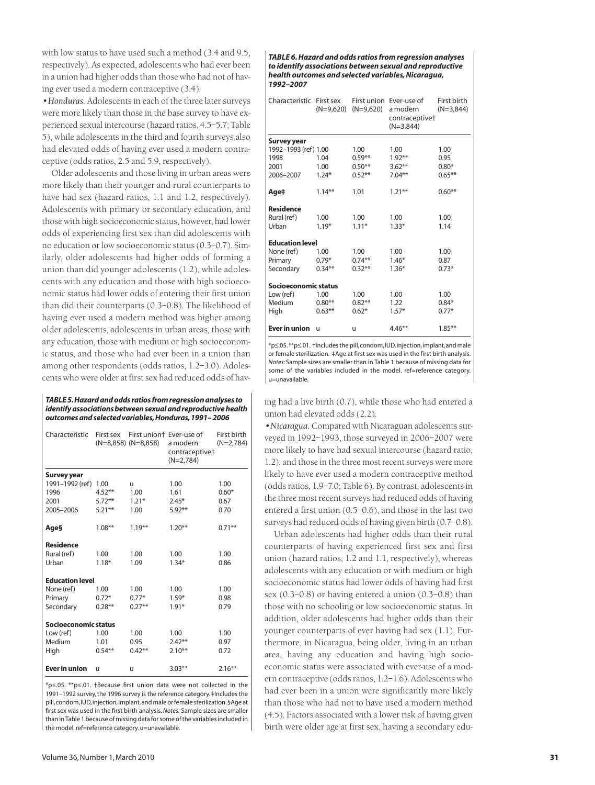with low status to have used such a method (3.4 and 9.5, respectively). As expected, adolescents who had ever been in a union had higher odds than those who had not of having ever used a modern contraceptive (3.4).

*•Honduras.* Adolescents in each of the three later surveys were more likely than those in the base survey to have experienced sexual intercourse (hazard ratios, 4.5–5.7; Table 5), while adolescents in the third and fourth surveys also had elevated odds of having ever used a modern contraceptive (odds ratios, 2.5 and 5.9, respectively).

Older adolescents and those living in urban areas were more likely than their younger and rural counterparts to have had sex (hazard ratios, 1.1 and 1.2, respectively). Adolescents with primary or secondary education, and those with high socioeconomic status, however, had lower odds of experiencing first sex than did adolescents with no education or low socioeconomic status (0.3–0.7). Similarly, older adolescents had higher odds of forming a union than did younger adolescents (1.2), while adolescents with any education and those with high socioeconomic status had lower odds of entering their first union than did their counterparts (0.3–0.8). The likelihood of having ever used a modern method was higher among older adolescents, adolescents in urban areas, those with any education, those with medium or high socioeconomic status, and those who had ever been in a union than among other respondents (odds ratios, 1.2–3.0). Adolescents who were older at first sex had reduced odds of hav-

*TABLE 5.Hazard and odds ratios from regression analyses to identify associations between sexual and reproductive health outcomes and selected variables,Honduras,1991– 2006*

| Characteristic         | First sex | First union+ Ever-use of<br>$(N=8,858)$ $(N=8,858)$ | a modern<br>contraceptive‡<br>$(N=2.784)$ | First birth<br>$(N=2,784)$ |
|------------------------|-----------|-----------------------------------------------------|-------------------------------------------|----------------------------|
| Survey year            |           |                                                     |                                           |                            |
| 1991-1992 (ref)        | 1.00      | u                                                   | 1.00                                      | 1.00                       |
| 1996                   | $4.52**$  | 1.00                                                | 1.61                                      | $0.60*$                    |
| 2001                   | $5.72***$ | $1.21*$                                             | $2.45*$                                   | 0.67                       |
| 2005-2006              | $5.21***$ | 1.00                                                | $5.92**$                                  | 0.70                       |
| Age§                   | $1.08***$ | $1.19***$                                           | $1.20***$                                 | $0.71***$                  |
| <b>Residence</b>       |           |                                                     |                                           |                            |
| Rural (ref)            | 1.00      | 1.00                                                | 1.00                                      | 1.00                       |
| Urban                  | $1.18*$   | 1.09                                                | $1.34*$                                   | 0.86                       |
| <b>Education level</b> |           |                                                     |                                           |                            |
| None (ref)             | 1.00      | 1.00                                                | 1.00                                      | 1.00                       |
| Primary                | $0.72*$   | $0.77*$                                             | $1.59*$                                   | 0.98                       |
| Secondary              | $0.28**$  | $0.27***$                                           | $1.91*$                                   | 0.79                       |
| Socioeconomic status   |           |                                                     |                                           |                            |
| Low (ref)              | 1.00      | 1.00                                                | 1.00                                      | 1.00                       |
| Medium                 | 1.01      | 0.95                                                | $2.42**$                                  | 0.97                       |
| High                   | $0.54***$ | $0.42***$                                           | $2.10***$                                 | 0.72                       |
| <b>Ever in union</b>   | u         | u                                                   | $3.03***$                                 | $2.16***$                  |

\*p≤.05. \*\*p≤.01. †Because first union data were not collected in the 1991–1992 survey, the 1996 survey is the reference category. ‡Includes the pill,condom,IUD,injection,implant,and male or female sterilization.§Age at first sex was used in the first birth analysis.*Notes:* Sample sizes are smaller than in Table 1 because of missing data for some of the variables included in the model. ref=reference category. u=unavailable.

*TABLE 6. Hazard and odds ratios from regression analyses to identify associations between sexual and reproductive health outcomes and selected variables, Nicaragua, 1992–2007*

| Characteristic         | First sex<br>(N=9,620) | $(N=9,620)$ | First union Ever-use of<br>a modern<br>contraceptive <sup>+</sup><br>$(N=3,844)$ | First birth<br>$(N=3,844)$ |  |  |  |  |
|------------------------|------------------------|-------------|----------------------------------------------------------------------------------|----------------------------|--|--|--|--|
| <b>Survey year</b>     |                        |             |                                                                                  |                            |  |  |  |  |
| 1992-1993 (ref) 1.00   |                        | 1.00        | 1.00                                                                             | 1.00                       |  |  |  |  |
| 1998                   | 1.04                   | $0.59***$   | $1.92**$                                                                         | 0.95                       |  |  |  |  |
| 2001                   | 1.00                   | $0.50***$   | $3.62***$                                                                        | $0.80*$                    |  |  |  |  |
| 2006-2007              | $1.24*$                | $0.52***$   | $7.04***$                                                                        | $0.65***$                  |  |  |  |  |
| Age‡                   | $1.14***$              | 1.01        | $1.21***$                                                                        | $0.60**$                   |  |  |  |  |
| <b>Residence</b>       |                        |             |                                                                                  |                            |  |  |  |  |
| Rural (ref)            | 1.00                   | 1.00        | 1.00                                                                             | 1.00                       |  |  |  |  |
| Urban                  | $1.19*$                | $1.11*$     | $1.33*$                                                                          | 1.14                       |  |  |  |  |
| <b>Education level</b> |                        |             |                                                                                  |                            |  |  |  |  |
| None (ref)             | 1.00                   | 1.00        | 1.00                                                                             | 1.00                       |  |  |  |  |
| Primary                | $0.79*$                | $0.74**$    | $1.46*$                                                                          | 0.87                       |  |  |  |  |
| Secondary              | $0.34***$              | $0.32***$   | $1.36*$                                                                          | $0.73*$                    |  |  |  |  |
| Socioeconomic status   |                        |             |                                                                                  |                            |  |  |  |  |
| Low (ref)              | 1.00                   | 1.00        | 1.00                                                                             | 1.00                       |  |  |  |  |
| Medium                 | $0.80**$               | $0.82***$   | 1.22                                                                             | $0.84*$                    |  |  |  |  |
| High                   | $0.63***$              | $0.62*$     | $1.57*$                                                                          | $0.77*$                    |  |  |  |  |
| Ever in union          | u                      | u           | $4.46***$                                                                        | $1.85***$                  |  |  |  |  |

\*p≤.05.\*\*p≤.01. †Includes the pill,condom,IUD,injection,implant,and male or female sterilization. ‡Age at first sex was used in the first birth analysis. *Notes:* Sample sizes are smaller than in Table 1 because of missing data for some of the variables included in the model. ref=reference category. u=unavailable.

ing had a live birth (0.7), while those who had entered a union had elevated odds (2.2).

*•Nicaragua.* Compared with Nicaraguan adolescents surveyed in 1992–1993, those surveyed in 2006–2007 were more likely to have had sexual intercourse (hazard ratio, 1.2), and those in the three most recent surveys were more likely to have ever used a modern contraceptive method (odds ratios, 1.9–7.0; Table 6). By contrast, adolescents in the three most recent surveys had reduced odds of having entered a first union (0.5–0.6), and those in the last two surveys had reduced odds of having given birth (0.7–0.8).

Urban adolescents had higher odds than their rural counterparts of having experienced first sex and first union (hazard ratios, 1.2 and 1.1, respectively), whereas adolescents with any education or with medium or high socioeconomic status had lower odds of having had first sex (0.3–0.8) or having entered a union (0.3–0.8) than those with no schooling or low socioeconomic status. In addition, older adolescents had higher odds than their younger counterparts of ever having had sex (1.1). Furthermore, in Nicaragua, being older, living in an urban area, having any education and having high socioeconomic status were associated with ever-use of a modern contraceptive (odds ratios, 1.2–1.6). Adolescents who had ever been in a union were significantly more likely than those who had not to have used a modern method (4.5). Factors associated with a lower risk of having given birth were older age at first sex, having a secondary edu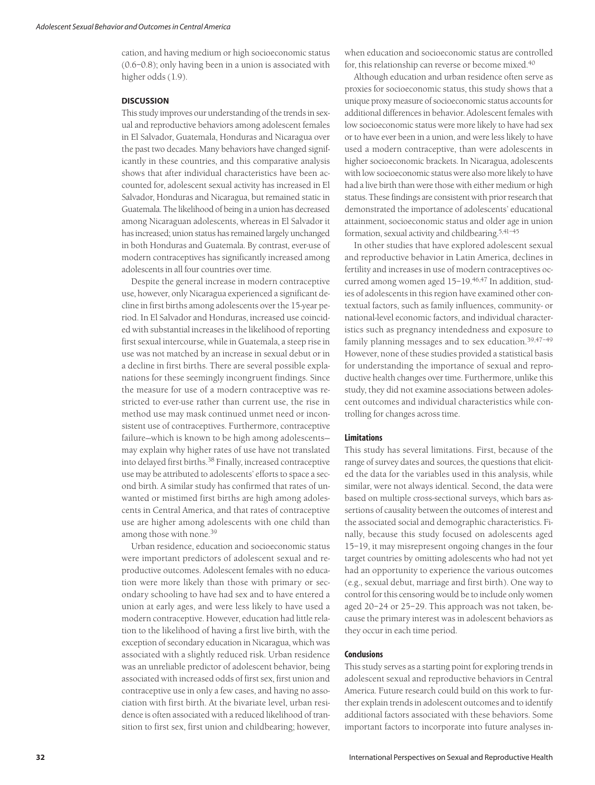cation, and having medium or high socioeconomic status (0.6–0.8); only having been in a union is associated with higher odds (1.9).

# **DISCUSSION**

This study improves our understanding of the trends in sexual and reproductive behaviors among adolescent females in El Salvador, Guatemala, Honduras and Nicaragua over the past two decades. Many behaviors have changed significantly in these countries, and this comparative analysis shows that after individual characteristics have been accounted for, adolescent sexual activity has increased in El Salvador, Honduras and Nicaragua, but remained static in Guatemala. The likelihood of being in a union has decreased among Nicaraguan adolescents, whereas in El Salvador it has increased; union status has remained largely unchanged in both Honduras and Guatemala. By contrast, ever-use of modern contraceptives has significantly increased among adolescents in all four countries over time.

Despite the general increase in modern contraceptive use, however, only Nicaragua experienced a significant decline in first births among adolescents over the 15-year period. In El Salvador and Honduras, increased use coincided with substantial increases in the likelihood of reporting first sexual intercourse, while in Guatemala, a steep rise in use was not matched by an increase in sexual debut or in a decline in first births. There are several possible explanations for these seemingly incongruent findings. Since the measure for use of a modern contraceptive was restricted to ever-use rather than current use, the rise in method use may mask continued unmet need or inconsistent use of contraceptives. Furthermore, contraceptive failure—which is known to be high among adolescents may explain why higher rates of use have not translated into delayed first births.38 Finally, increased contraceptive use may be attributed to adolescents' efforts to space a second birth. A similar study has confirmed that rates of unwanted or mistimed first births are high among adolescents in Central America, and that rates of contraceptive use are higher among adolescents with one child than among those with none.39

Urban residence, education and socioeconomic status were important predictors of adolescent sexual and reproductive outcomes. Adolescent females with no education were more likely than those with primary or secondary schooling to have had sex and to have entered a union at early ages, and were less likely to have used a modern contraceptive. However, education had little relation to the likelihood of having a first live birth, with the exception of secondary education in Nicaragua, which was associated with a slightly reduced risk. Urban residence was an unreliable predictor of adolescent behavior, being associated with increased odds of first sex, first union and contraceptive use in only a few cases, and having no association with first birth. At the bivariate level, urban residence is often associated with a reduced likelihood of transition to first sex, first union and childbearing; however, when education and socioeconomic status are controlled for, this relationship can reverse or become mixed.<sup>40</sup>

Although education and urban residence often serve as proxies for socioeconomic status, this study shows that a unique proxy measure of socioeconomic status accounts for additional differences in behavior. Adolescent females with low socioeconomic status were more likely to have had sex or to have ever been in a union, and were less likely to have used a modern contraceptive, than were adolescents in higher socioeconomic brackets. In Nicaragua, adolescents with low socioeconomic status were also more likely to have had a live birth than were those with either medium or high status. These findings are consistent with prior research that demonstrated the importance of adolescents' educational attainment, socioeconomic status and older age in union formation, sexual activity and childbearing.5,41–45

In other studies that have explored adolescent sexual and reproductive behavior in Latin America, declines in fertility and increases in use of modern contraceptives occurred among women aged 15-19.<sup>46,47</sup> In addition, studies of adolescents in this region have examined other contextual factors, such as family influences, community- or national-level economic factors, and individual characteristics such as pregnancy intendedness and exposure to family planning messages and to sex education.<sup>39,47-49</sup> However, none of these studies provided a statistical basis for understanding the importance of sexual and reproductive health changes over time. Furthermore, unlike this study, they did not examine associations between adolescent outcomes and individual characteristics while controlling for changes across time.

## **Limitations**

This study has several limitations. First, because of the range of survey dates and sources, the questions that elicited the data for the variables used in this analysis, while similar, were not always identical. Second, the data were based on multiple cross-sectional surveys, which bars assertions of causality between the outcomes of interest and the associated social and demographic characteristics. Finally, because this study focused on adolescents aged 15–19, it may misrepresent ongoing changes in the four target countries by omitting adolescents who had not yet had an opportunity to experience the various outcomes (e.g., sexual debut, marriage and first birth). One way to control for this censoring would be to include only women aged 20–24 or 25–29. This approach was not taken, because the primary interest was in adolescent behaviors as they occur in each time period.

# **Conclusions**

This study serves as a starting point for exploring trends in adolescent sexual and reproductive behaviors in Central America. Future research could build on this work to further explain trends in adolescent outcomes and to identify additional factors associated with these behaviors. Some important factors to incorporate into future analyses in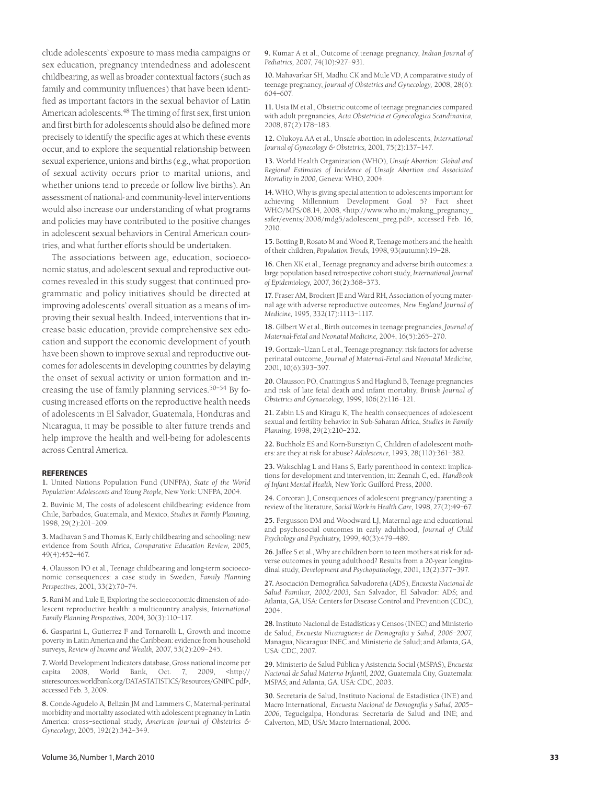clude adolescents' exposure to mass media campaigns or sex education, pregnancy intendedness and adolescent childbearing, as well as broader contextual factors (such as family and community influences) that have been identified as important factors in the sexual behavior of Latin American adolescents.<sup>48</sup> The timing of first sex, first union and first birth for adolescents should also be defined more precisely to identify the specific ages at which these events occur, and to explore the sequential relationship between sexual experience, unions and births (e.g., what proportion of sexual activity occurs prior to marital unions, and whether unions tend to precede or follow live births). An assessment of national- and community-level interventions would also increase our understanding of what programs and policies may have contributed to the positive changes in adolescent sexual behaviors in Central American countries, and what further efforts should be undertaken.

The associations between age, education, socioeconomic status, and adolescent sexual and reproductive outcomes revealed in this study suggest that continued programmatic and policy initiatives should be directed at improving adolescents' overall situation as a means of improving their sexual health. Indeed, interventions that increase basic education, provide comprehensive sex education and support the economic development of youth have been shown to improve sexual and reproductive outcomes for adolescents in developing countries by delaying the onset of sexual activity or union formation and increasing the use of family planning services.<sup>50–54</sup> By focusing increased efforts on the reproductive health needs of adolescents in El Salvador, Guatemala, Honduras and Nicaragua, it may be possible to alter future trends and help improve the health and well-being for adolescents across Central America.

#### **REFERENCES**

**1.** United Nations Population Fund (UNFPA), *State of the World Population: Adolescents and Young People,* New York: UNFPA, 2004.

**2.** Buvinic M, The costs of adolescent childbearing: evidence from Chile, Barbados, Guatemala, and Mexico, *Studies in Family Planning,* 1998, 29(2):201–209.

**3.** Madhavan S and Thomas K, Early childbearing and schooling: new evidence from South Africa, *Comparative Education Review,* 2005, 49(4):452–467.

**4.** Olausson PO et al., Teenage childbearing and long-term socioeconomic consequences: a case study in Sweden, *Family Planning Perspectives,* 2001, 33(2):70–74.

**5.** Rani M and Lule E, Exploring the socioeconomic dimension of adolescent reproductive health: a multicountry analysis, *International Family Planning Perspectives,* 2004, 30(3):110–117.

**6.** Gasparini L, Gutierrez F and Tornarolli L, Growth and income poverty in Latin America and the Caribbean: evidence from household surveys, *Review of Income and Wealth,* 2007, 53(2):209–245.

**7.** World Development Indicators database, Gross national income per capita 2008, World Bank, Oct. 7, 2009, <http:// siteresources.worldbank.org/DATASTATISTICS/Resources/GNIPC.pdf>, accessed Feb. 3, 2009.

**8.** Conde-Agudelo A, Belizán JM and Lammers C, Maternal-perinatal morbidity and mortality associated with adolescent pregnancy in Latin America: cross–sectional study, *American Journal of Obstetrics & Gynecology,* 2005, 192(2):342–349.

**9.** Kumar A et al., Outcome of teenage pregnancy, *Indian Journal of Pediatrics,* 2007, 74(10):927–931.

**10.** Mahavarkar SH, Madhu CK and Mule VD, A comparative study of teenage pregnancy, *Journal of Obstetrics and Gynecology,* 2008, 28(6): 604–607.

**11.** Usta IM et al., Obstetric outcome of teenage pregnancies compared with adult pregnancies, *Acta Obstetricia et Gynecologica Scandinavica,* 2008, 87(2):178–183.

**12.** Olukoya AA et al., Unsafe abortion in adolescents, *International Journal of Gynecology & Obstetrics,* 2001, 75(2):137–147.

**13.** World Health Organization (WHO), *Unsafe Abortion: Global and Regional Estimates of Incidence of Unsafe Abortion and Associated Mortality in 2000,* Geneva: WHO, 2004.

**14.** WHO, Why is giving special attention to adolescents important for achieving Millennium Development Goal 5? Fact sheet WHO/MPS/08.14, 2008, <http://www.who.int/making\_pregnancy\_ safer/events/2008/mdg5/adolescent\_preg.pdf>, accessed Feb. 16, 2010.

**15.** Botting B, Rosato M and Wood R, Teenage mothers and the health of their children, *Population Trends,* 1998, 93(autumn):19–28.

**16.** Chen XK et al., Teenage pregnancy and adverse birth outcomes: a large population based retrospective cohort study, *International Journal of Epidemiology,* 2007, 36(2):368–373.

**17.** Fraser AM, Brockert JE and Ward RH, Association of young maternal age with adverse reproductive outcomes, *New England Journal of Medicine,* 1995, 332(17):1113–1117.

**18.** Gilbert W et al., Birth outcomes in teenage pregnancies, *Journal of Maternal-Fetal and Neonatal Medicine,* 2004, 16(5):265–270.

**19.** Gortzak–Uzan L et al., Teenage pregnancy: risk factors for adverse perinatal outcome, *Journal of Maternal-Fetal and Neonatal Medicine,* 2001, 10(6):393–397.

**20.** Olausson PO, Cnattingius S and Haglund B, Teenage pregnancies and risk of late fetal death and infant mortality, *British Journal of Obstetrics and Gynaecology,* 1999, 106(2):116–121.

**21.** Zabin LS and Kiragu K, The health consequences of adolescent sexual and fertility behavior in Sub-Saharan Africa, *Studies in Family Planning,* 1998, 29(2):210–232.

**22.** Buchholz ES and Korn-Bursztyn C, Children of adolescent mothers: are they at risk for abuse? *Adolescence,* 1993, 28(110):361–382.

**23.** Wakschlag L and Hans S, Early parenthood in context: implications for development and intervention, in: Zeanah C, ed., *Handbook of Infant Mental Health,* New York: Guilford Press, 2000.

**24.** Corcoran J, Consequences of adolescent pregnancy/parenting: a review of the literature, *Social Work in Health Care,* 1998, 27(2):49–67.

**25.** Fergusson DM and Woodward LJ, Maternal age and educational and psychosocial outcomes in early adulthood, *Journal of Child Psychology and Psychiatry,* 1999, 40(3):479–489.

**26.** Jaffee S et al., Why are children born to teen mothers at risk for adverse outcomes in young adulthood? Results from a 20-year longitudinal study, *Development and Psychopathology*, 2001, 13(2):377–397.

**27.** Asociación Demográfica Salvadoreña (ADS), *Encuesta Nacional de Salud Familiar, 2002/2003,* San Salvador, El Salvador: ADS; and Atlanta, GA, USA: Centers for Disease Control and Prevention (CDC), 2004.

**28.** Instituto Nacional de Estadísticas y Censos (INEC) and Ministerio de Salud, *Encuesta Nicaragüense de Demografía y Salud, 2006–2007,* Managua, Nicaragua: INEC and Ministerio de Salud; and Atlanta, GA, USA: CDC, 2007.

**29.** Ministerio de Salud Pública y Asistencia Social (MSPAS), *Encuesta Nacional de Salud Materno Infantil, 2002,* Guatemala City, Guatemala: MSPAS; and Atlanta, GA, USA: CDC, 2003.

**30.** Secretaría de Salud, Instituto Nacional de Estadística (INE) and Macro International, *Encuesta Nacional de Demografía y Salud, 2005– 2006,* Tegucigalpa, Honduras: Secretaría de Salud and INE; and Calverton, MD, USA: Macro International, 2006.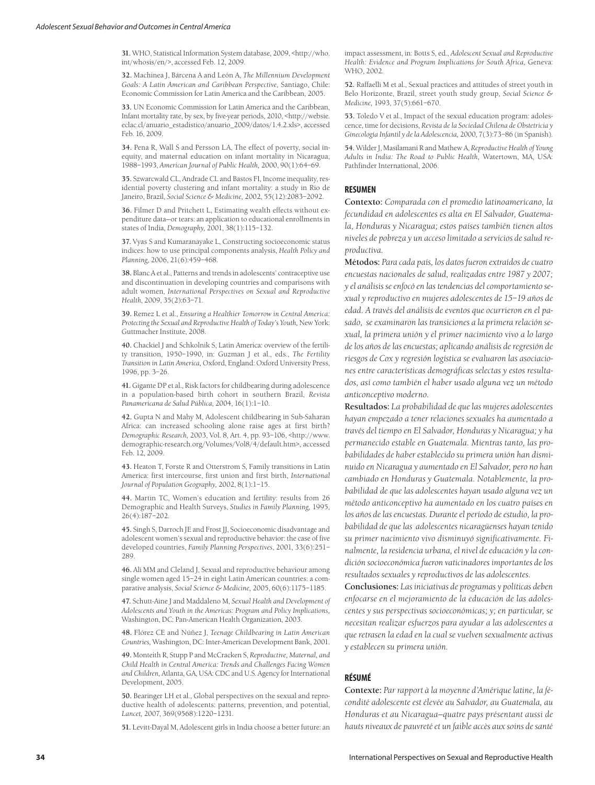**31.** WHO, Statistical Information System database, 2009, <http://who. int/whosis/en/>, accessed Feb. 12, 2009.

**32.** Machinea J, Bárcena A and León A, *The Millennium Development Goals: A Latin American and Caribbean Perspective,* Santiago, Chile: Economic Commission for Latin America and the Caribbean, 2005.

**33.** UN Economic Commission for Latin America and the Caribbean, Infant mortality rate, by sex, by five-year periods, 2010, <http://websie. eclac.cl/anuario\_estadistico/anuario\_2009/datos/1.4.2.xls>, accessed Feb. 16, 2009.

**34.** Pena R, Wall S and Persson LA, The effect of poverty, social inequity, and maternal education on infant mortality in Nicaragua, 1988–1993, *American Journal of Public Health,* 2000, 90(1):64–69.

**35.** Szwarcwald CL, Andrade CL and Bastos FI, Income inequality, residential poverty clustering and infant mortality: a study in Rio de Janeiro, Brazil, *Social Science & Medicine,* 2002, 55(12):2083–2092.

**36.** Filmer D and Pritchett L, Estimating wealth effects without expenditure data—or tears: an application to educational enrollments in states of India, *Demography,* 2001, 38(1):115–132.

**37.** Vyas S and Kumaranayake L, Constructing socioeconomic status indices: how to use principal components analysis, *Health Policy and Planning,* 2006, 21(6):459–468.

**38.** Blanc A et al., Patterns and trends in adolescents' contraceptive use and discontinuation in developing countries and comparisons with adult women, *International Perspectives on Sexual and Reproductive Health*, 2009, 35(2):63–71.

**39.** Remez L et al., *Ensuring a Healthier Tomorrow in Central America: Protecting the Sexual and Reproductive Health of Today's Youth,* New York: Guttmacher Institute, 2008.

**40.** Chackiel J and Schkolnik S, Latin America: overview of the fertility transition, 1950–1990, in: Guzman J et al., eds., *The Fertility Transition in Latin America,* Oxford, England: Oxford University Press, 1996, pp. 3–26.

**41.** Gigante DP et al., Risk factors for childbearing during adolescence in a population-based birth cohort in southern Brazil, *Revista Panamericana de Salud Pública*, 2004, 16(1):1–10.

**42.** Gupta N and Mahy M, Adolescent childbearing in Sub-Saharan Africa: can increased schooling alone raise ages at first birth? *Demographic Research,* 2003, Vol. 8, Art. 4, pp. 93–106, <http://www. demographic-research.org/Volumes/Vol8/4/default.htm>, accessed Feb. 12, 2009.

**43.** Heaton T, Forste R and Otterstrom S, Family transitions in Latin America: first intercourse, first union and first birth, *International Journal of Population Geography,* 2002, 8(1):1–15.

**44.** Martin TC, Women's education and fertility: results from 26 Demographic and Health Surveys, *Studies in Family Planning,* 1995, 26(4):187–202.

**45.** Singh S, Darroch JE and Frost JJ, Socioeconomic disadvantage and adolescent women's sexual and reproductive behavior: the case of five developed countries, *Family Planning Perspectives*, 2001, 33(6):251– 289.

**46.** Ali MM and Cleland J, Sexual and reproductive behaviour among single women aged 15–24 in eight Latin American countries: a comparative analysis, *Social Science & Medicine,* 2005, 60(6):1175–1185.

**47.** Schutt-Aine J and Maddaleno M, *Sexual Health and Development of Adolescents and Youth in the Americas: Program and Policy Implications,* Washington, DC: Pan-American Health Organization, 2003.

**48.** Flórez CE and Núñez J, *Teenage Childbearing in Latin American Countries,* Washington, DC: Inter-American Development Bank, 2001.

**49.** Monteith R, Stupp P and McCracken S, *Reproductive, Maternal, and Child Health in Central America: Trends and Challenges Facing Women and Children,* Atlanta, GA, USA: CDC and U.S. Agency for International Development, 2005.

**50.** Bearinger LH et al., Global perspectives on the sexual and reproductive health of adolescents: patterns, prevention, and potential, *Lancet,* 2007, 369(9568):1220–1231.

**51.** Levitt-Dayal M, Adolescent girls in India choose a better future: an

impact assessment, in: Botts S, ed., *Adolescent Sexual and Reproductive Health: Evidence and Program Implications for South Africa,* Geneva: WHO, 2002.

**52.** Raffaelli M et al., Sexual practices and attitudes of street youth in Belo Horizonte, Brazil, street youth study group, *Social Science & Medicine,* 1993, 37(5):661–670.

**53.** Toledo V et al., Impact of the sexual education program: adolescence, time for decisions, *Revista de la Sociedad Chilena de Obstetricia y Ginecología Infantil y de la Adolescencia,* 2000, 7(3):73–86 (in Spanish).

**54.** Wilder J, Masilamani R and Mathew A, *Reproductive Health of Young Adults in India: The Road to Public Health,* Watertown, MA, USA: Pathfinder International, 2006.

#### **RESUMEN**

**Contexto:** *Comparada con el promedio latinoamericano, la fecundidad en adolescentes es alta en El Salvador, Guatemala, Honduras y Nicaragua; estos países también tienen altos niveles de pobreza y un acceso limitado a servicios de salud reproductiva.*

**Métodos:** *Para cada país, los datos fueron extraídos de cuatro encuestas nacionales de salud, realizadas entre 1987 y 2007; y el análisis se enfocó en las tendencias del comportamiento sexual y reproductivo en mujeres adolescentes de 15–19 años de edad. A través del análisis de eventos que ocurrieron en el pasado, se examinaron las transiciones a la primera relación sexual, la primera unión y el primer nacimiento vivo a lo largo de los años de las encuestas; aplicando análisis de regresión de riesgos de Cox y regresión logística se evaluaron las asociaciones entre características demográficas selectas y estos resultados, así como también el haber usado alguna vez un método anticonceptivo moderno.*

**Resultados:** *La probabilidad de que las mujeres adolescentes hayan empezado a tener relaciones sexuales ha aumentado a través del tiempo en El Salvador, Honduras y Nicaragua; y ha permanecido estable en Guatemala. Mientras tanto, las probabilidades de haber establecido su primera unión han disminuido en Nicaragua y aumentado en El Salvador, pero no han cambiado en Honduras y Guatemala. Notablemente, la probabilidad de que las adolescentes hayan usado alguna vez un método anticonceptivo ha aumentado en los cuatro países en los años de las encuestas. Durante el período de estudio, la probabilidad de que las adolescentes nicaragüenses hayan tenido su primer nacimiento vivo disminuyó significativamente. Finalmente, la residencia urbana, el nivel de educación y la condición socioeconómica fueron vaticinadores importantes de los resultados sexuales y reproductivos de las adolescentes.*

**Conclusiones:** *Las iniciativas de programas y políticas deben enfocarse en el mejoramiento de la educación de las adolescentes y sus perspectivas socioeconómicas; y; en particular, se necesitan realizar esfuerzos para ayudar a las adolescentes a que retrasen la edad en la cual se vuelven sexualmente activas y establecen su primera unión.*

## **RÉSUMÉ**

**Contexte:** *Par rapport à la moyenne d'Amérique latine, la fécondité adolescente est élevée au Salvador, au Guatemala, au Honduras et au Nicaragua—quatre pays présentant aussi de hauts niveaux de pauvreté et un faible accès aux soins de santé*